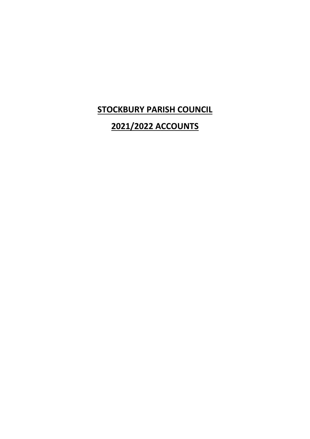## **STOCKBURY PARISH COUNCIL**

## **2021/2022 ACCOUNTS**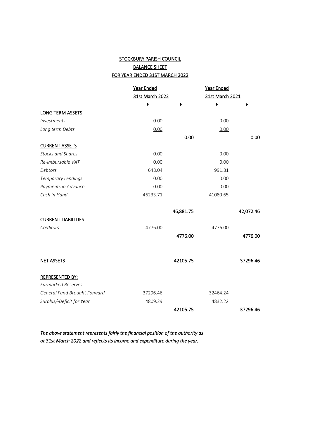## STOCKBURY PARISH COUNCIL BALANCE SHEET FOR YEAR ENDED 31ST MARCH 2022

|                              | Year Ended<br>31st March 2022 |                          | Year Ended<br>31st March 2021 |           |  |
|------------------------------|-------------------------------|--------------------------|-------------------------------|-----------|--|
|                              |                               |                          |                               |           |  |
|                              | £                             | $\underline{\mathbf{f}}$ | £                             | £         |  |
| <b>LONG TERM ASSETS</b>      |                               |                          |                               |           |  |
| Investments                  | 0.00                          |                          | 0.00                          |           |  |
| Long term Debts              | 0.00                          |                          | 0.00                          |           |  |
|                              |                               | 0.00                     |                               | 0.00      |  |
| <b>CURRENT ASSETS</b>        |                               |                          |                               |           |  |
| <b>Stocks and Shares</b>     | 0.00                          |                          | 0.00                          |           |  |
| Re-imbursable VAT            | 0.00                          |                          | 0.00                          |           |  |
| Debtors                      | 648.04                        |                          | 991.81                        |           |  |
| Temporary Lendings           | 0.00                          |                          | 0.00                          |           |  |
| Payments in Advance          | 0.00                          |                          | 0.00                          |           |  |
| Cash in Hand                 | 46233.71                      |                          | 41080.65                      |           |  |
|                              |                               |                          |                               |           |  |
|                              |                               | 46,881.75                |                               | 42,072.46 |  |
| <b>CURRENT LIABILITIES</b>   |                               |                          |                               |           |  |
| Creditors                    | 4776.00                       |                          | 4776.00                       |           |  |
|                              |                               | 4776.00                  |                               | 4776.00   |  |
|                              |                               |                          |                               |           |  |
|                              |                               |                          |                               |           |  |
| <b>NET ASSETS</b>            |                               | 42105.75                 |                               | 37296.46  |  |
|                              |                               |                          |                               |           |  |
| <b>REPRESENTED BY:</b>       |                               |                          |                               |           |  |
| <b>Earmarked Reserves</b>    |                               |                          |                               |           |  |
| General Fund Brought Forward | 37296.46                      |                          | 32464.24                      |           |  |
| Surplus/-Deficit for Year    | 4809.29                       |                          | 4832.22                       |           |  |
|                              |                               | 42105.75                 |                               | 37296.46  |  |

*The above statement represents fairly the financial position of the authority as at 31st March 2022 and reflects its income and expenditure during the year.*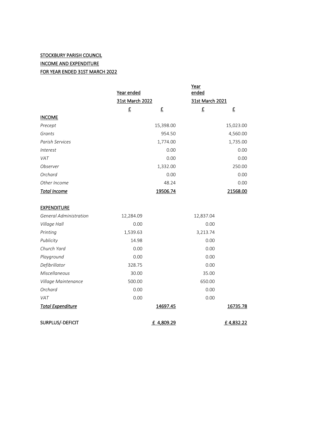## **STOCKBURY PARISH COUNCIL** INCOME AND EXPENDITURE FOR YEAR ENDED 31ST MARCH 2022

|                               | Year ended               |                 | Year<br>ended            |                 |
|-------------------------------|--------------------------|-----------------|--------------------------|-----------------|
|                               |                          | 31st March 2022 |                          | 31st March 2021 |
|                               | $\underline{\mathbf{f}}$ | £               | $\underline{\mathbf{f}}$ | £               |
| <b>INCOME</b>                 |                          |                 |                          |                 |
| Precept                       |                          | 15,398.00       |                          | 15,023.00       |
| Grants                        |                          | 954.50          |                          | 4,560.00        |
| Parish Services               |                          | 1,774.00        |                          | 1,735.00        |
| <i>Interest</i>               |                          | 0.00            |                          | 0.00            |
| VAT                           |                          | 0.00            |                          | 0.00            |
| Observer                      |                          | 1,332.00        |                          | 250.00          |
| Orchard                       |                          | 0.00            |                          | 0.00            |
| Other Income                  |                          | 48.24           |                          | 0.00            |
| <b>Total Income</b>           |                          | 19506.74        |                          | 21568.00        |
| <b>EXPENDITURE</b>            |                          |                 |                          |                 |
| <b>General Administration</b> | 12,284.09                |                 | 12,837.04                |                 |
| Village Hall                  | 0.00                     |                 | 0.00                     |                 |
| Printing                      | 1,539.63                 |                 | 3,213.74                 |                 |
| Publicity                     | 14.98                    |                 | 0.00                     |                 |
| Church Yard                   | 0.00                     |                 | 0.00                     |                 |
| Playground                    | 0.00                     |                 | 0.00                     |                 |
| Defibrillator                 | 328.75                   |                 | 0.00                     |                 |
| Miscellaneous                 | 30.00                    |                 | 35.00                    |                 |
| Village Maintenance           | 500.00                   |                 | 650.00                   |                 |
| Orchard                       | 0.00                     |                 | 0.00                     |                 |
| VAT                           | 0.00                     |                 | 0.00                     |                 |
| <b>Total Expenditure</b>      |                          | 14697.45        |                          | 16735.78        |
| SURPLUS/-DEFICIT              |                          | £ 4,809.29      |                          | £4,832.22       |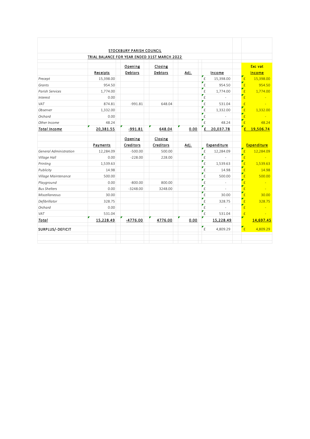|                        | TRIAL BALANCE FOR YEAR ENDED 31ST MARCH 2022 | STOCKBURY PARISH COUNCIL |           |      |                    |             |                                       |                    |
|------------------------|----------------------------------------------|--------------------------|-----------|------|--------------------|-------------|---------------------------------------|--------------------|
|                        |                                              |                          |           |      |                    |             |                                       |                    |
|                        |                                              | Opening                  | Closing   |      |                    |             |                                       | Exc vat            |
|                        | Receipts                                     | Debtors                  | Debtors   | Adj. |                    | Income      |                                       | <b>Income</b>      |
| Precept                | 15,398.00                                    |                          |           |      | £                  | 15,398.00   | E                                     | 15,398.00          |
| Grants                 | 954.50                                       |                          |           |      | $\hat{E}$          | 954.50      | $\epsilon$                            | 954.50             |
| Parish Services        | 1,774.00                                     |                          |           |      | £                  | 1,774.00    | $\mathbf{f}$                          | 1,774.00           |
| Interest               | 0.00                                         |                          |           |      | $\hat{\mathsf{E}}$ |             | $\epsilon$                            |                    |
| VAT                    | 874.81                                       | $-991.81$                | 648.04    |      | £                  | 531.04      | £                                     |                    |
| Observer               | 1,332.00                                     |                          |           |      | £                  | 1,332.00    | $\mathbf{f}$                          | 1,332.00           |
| Orchard                | 0.00                                         |                          |           |      | £                  |             | $\mathbf{f}$                          |                    |
| Other Income           | 48.24                                        |                          |           |      | $\hat{E}$          | 48.24       | $\epsilon$                            | 48.24              |
| <b>Total Income</b>    | 20,381.55                                    | $-991.81$                | 648.04    | 0.00 | £                  | 20,037.78   | £                                     | 19,506.74          |
|                        |                                              | Opening                  | Closing   |      |                    |             |                                       |                    |
|                        | Payments                                     | Creditors                | Creditors | Adj. |                    | Expenditure |                                       | <b>Expenditure</b> |
| General Administration | 12,284.09                                    | $-500.00$                | 500.00    |      | £                  | 12,284.09   | $\mathbf{f}$                          | 12,284.09          |
| Village Hall           | 0.00                                         | $-228.00$                | 228.00    |      | £                  |             | $\mathbf{f}$                          |                    |
| Printing               | 1,539.63                                     |                          |           |      | £                  | 1,539.63    | $\overline{f}$                        | 1,539.63           |
| Publicity              | 14.98                                        |                          |           |      | £                  | 14.98       | $\mathbf{f}$                          | 14.98              |
| Village Maintenance    | 500.00                                       |                          |           |      | £                  | 500.00      | $\epsilon$                            | 500.00             |
| Playground             | 0.00                                         | $-800.00$                | 800.00    |      | £                  |             | $\mathbf{F}_{\underline{\mathbf{f}}}$ |                    |
| <b>Bus Shelters</b>    | 0.00                                         | $-3248.00$               | 3248.00   |      | £                  |             | $\epsilon$                            |                    |
| Miscellaneous          | 30.00                                        |                          |           |      | £                  | 30.00       | $\epsilon$                            | 30.00              |
| Defibrillator          | 328.75                                       |                          |           |      | £                  | 328.75      | $\mathbf{f}$                          | 328.75             |
| Orchard                | 0.00                                         |                          |           |      | £                  | ÷           | $\mathbf{f}$                          |                    |
| VAT                    | 531.04                                       |                          |           |      | $\pounds$          | 531.04      | f                                     |                    |
| <b>Total</b>           | 15,228.49                                    | $-4776.00$               | 4776.00   | 0.00 |                    | 15,228.49   |                                       | 14,697.45          |
| SURPLUS/-DEFICIT       |                                              |                          |           |      | $\mathsf{f}$       | 4,809.29    | $\mathbf{r}_{\rm f}$                  | 4,809.29           |
|                        |                                              |                          |           |      |                    |             |                                       |                    |